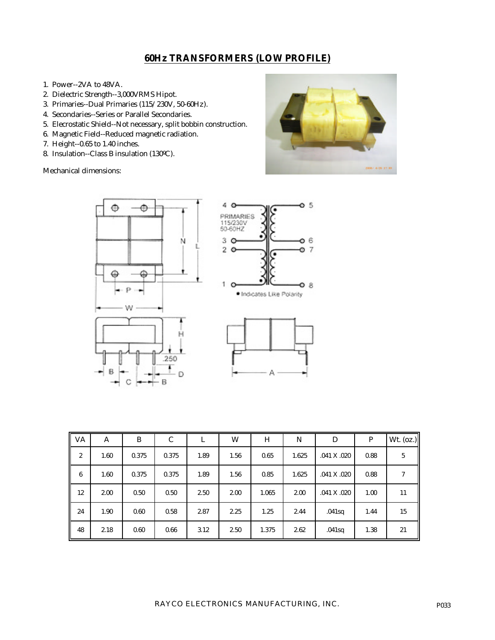## **60Hz TRANSFORMERS (LOW PROFILE)**

- 1. Power--2VA to 48VA.
- 2. Dielectric Strength--3,000VRMS Hipot.
- 3. Primaries--Dual Primaries (115/230V, 50-60Hz).
- 4. Secondaries--Series or Parallel Secondaries.
- 5. Elecrostatic Shield--Not necessary, split bobbin construction.
- 6. Magnetic Field--Reduced magnetic radiation.
- 7. Height--0.65 to 1.40 inches.
- 8. Insulation--Class B insulation (130ºC).

Mechanical dimensions:





| <b>VA</b>        | A    | B     | C     | L    | W    | H     | N     | D           | P    | Wt. (oz.) |
|------------------|------|-------|-------|------|------|-------|-------|-------------|------|-----------|
| $\boldsymbol{2}$ | 1.60 | 0.375 | 0.375 | 1.89 | 1.56 | 0.65  | 1.625 | .041 X .020 | 0.88 | 5         |
| 6                | 1.60 | 0.375 | 0.375 | 1.89 | 1.56 | 0.85  | 1.625 | .041 X .020 | 0.88 |           |
| 12               | 2.00 | 0.50  | 0.50  | 2.50 | 2.00 | 1.065 | 2.00  | .041 X .020 | 1.00 | 11        |
| 24               | 1.90 | 0.60  | 0.58  | 2.87 | 2.25 | 1.25  | 2.44  | .041sq      | 1.44 | 15        |
| 48               | 2.18 | 0.60  | 0.66  | 3.12 | 2.50 | 1.375 | 2.62  | .041sq      | 1.38 | 21        |